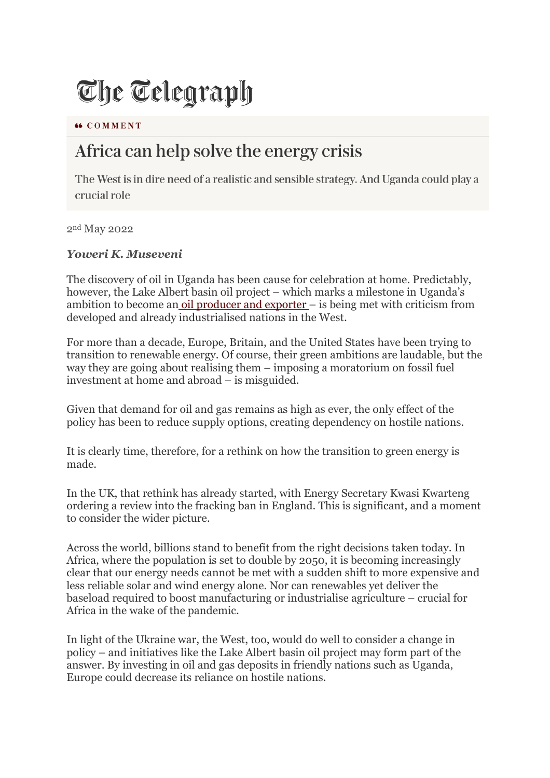## The Telegraph

**66 COMMENT** 

## Africa can help solve the energy crisis

The West is in dire need of a realistic and sensible strategy. And Uganda could play a crucial role

2nd May 2022

## *Yoweri K. Museveni*

The discovery of oil in Uganda has been cause for celebration at home. Predictably, however, the Lake Albert basin oil project – which marks a milestone in Uganda's ambition to become an oil producer and exporter – is being met with criticism from developed and already industrialised nations in the West.

For more than a decade, Europe, Britain, and the United States have been trying to transition to renewable energy. Of course, their green ambitions are laudable, but the way they are going about realising them – imposing a moratorium on fossil fuel investment at home and abroad – is misguided.

Given that demand for oil and gas remains as high as ever, the only effect of the policy has been to reduce supply options, creating dependency on hostile nations.

It is clearly time, therefore, for a rethink on how the transition to green energy is made.

In the UK, that rethink has already started, with Energy Secretary Kwasi Kwarteng ordering a review into the fracking ban in England. This is significant, and a moment to consider the wider picture.

Across the world, billions stand to benefit from the right decisions taken today. In Africa, where the population is set to double by 2050, it is becoming increasingly clear that our energy needs cannot be met with a sudden shift to more expensive and less reliable solar and wind energy alone. Nor can renewables yet deliver the baseload required to boost manufacturing or industrialise agriculture – crucial for Africa in the wake of the pandemic.

In light of the Ukraine war, the West, too, would do well to consider a change in policy – and initiatives like the Lake Albert basin oil project may form part of the answer. By investing in oil and gas deposits in friendly nations such as Uganda, Europe could decrease its reliance on hostile nations.